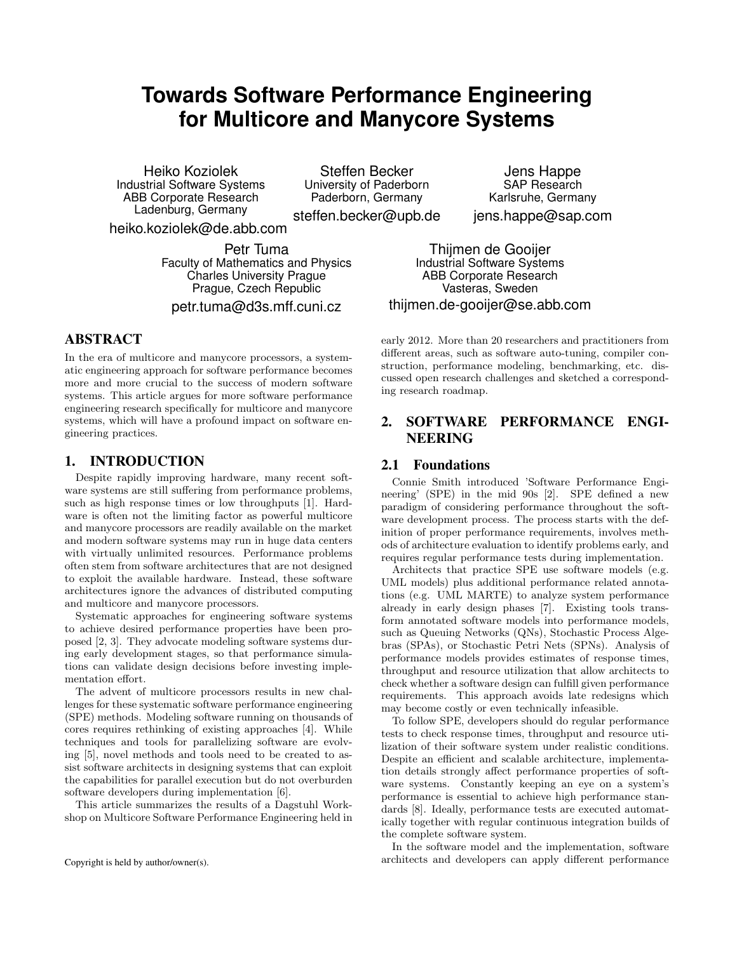# **Towards Software Performance Engineering for Multicore and Manycore Systems**

Heiko Koziolek Industrial Software Systems ABB Corporate Research Ladenburg, Germany

Steffen Becker University of Paderborn Paderborn, Germany

steffen.becker@upb.de

heiko.koziolek@de.abb.com

Petr Tuma Faculty of Mathematics and Physics Charles University Prague Prague, Czech Republic

petr.tuma@d3s.mff.cuni.cz

## ABSTRACT

In the era of multicore and manycore processors, a systematic engineering approach for software performance becomes more and more crucial to the success of modern software systems. This article argues for more software performance engineering research specifically for multicore and manycore systems, which will have a profound impact on software engineering practices.

#### 1. INTRODUCTION

Despite rapidly improving hardware, many recent software systems are still suffering from performance problems, such as high response times or low throughputs [1]. Hardware is often not the limiting factor as powerful multicore and manycore processors are readily available on the market and modern software systems may run in huge data centers with virtually unlimited resources. Performance problems often stem from software architectures that are not designed to exploit the available hardware. Instead, these software architectures ignore the advances of distributed computing and multicore and manycore processors.

Systematic approaches for engineering software systems to achieve desired performance properties have been proposed [2, 3]. They advocate modeling software systems during early development stages, so that performance simulations can validate design decisions before investing implementation effort.

The advent of multicore processors results in new challenges for these systematic software performance engineering (SPE) methods. Modeling software running on thousands of cores requires rethinking of existing approaches [4]. While techniques and tools for parallelizing software are evolving [5], novel methods and tools need to be created to assist software architects in designing systems that can exploit the capabilities for parallel execution but do not overburden software developers during implementation [6].

This article summarizes the results of a Dagstuhl Workshop on Multicore Software Performance Engineering held in

Thijmen de Gooijer Industrial Software Systems ABB Corporate Research Vasteras, Sweden thijmen.de-gooijer@se.abb.com

early 2012. More than 20 researchers and practitioners from different areas, such as software auto-tuning, compiler construction, performance modeling, benchmarking, etc. discussed open research challenges and sketched a corresponding research roadmap.

## 2. SOFTWARE PERFORMANCE ENGI-NEERING

### 2.1 Foundations

Connie Smith introduced 'Software Performance Engineering' (SPE) in the mid 90s [2]. SPE defined a new paradigm of considering performance throughout the software development process. The process starts with the definition of proper performance requirements, involves methods of architecture evaluation to identify problems early, and requires regular performance tests during implementation.

Architects that practice SPE use software models (e.g. UML models) plus additional performance related annotations (e.g. UML MARTE) to analyze system performance already in early design phases [7]. Existing tools transform annotated software models into performance models, such as Queuing Networks (QNs), Stochastic Process Algebras (SPAs), or Stochastic Petri Nets (SPNs). Analysis of performance models provides estimates of response times, throughput and resource utilization that allow architects to check whether a software design can fulfill given performance requirements. This approach avoids late redesigns which may become costly or even technically infeasible.

To follow SPE, developers should do regular performance tests to check response times, throughput and resource utilization of their software system under realistic conditions. Despite an efficient and scalable architecture, implementation details strongly affect performance properties of software systems. Constantly keeping an eye on a system's performance is essential to achieve high performance standards [8]. Ideally, performance tests are executed automatically together with regular continuous integration builds of the complete software system.

In the software model and the implementation, software architects and developers can apply different performance

Jens Happe SAP Research Karlsruhe, Germany

jens.happe@sap.com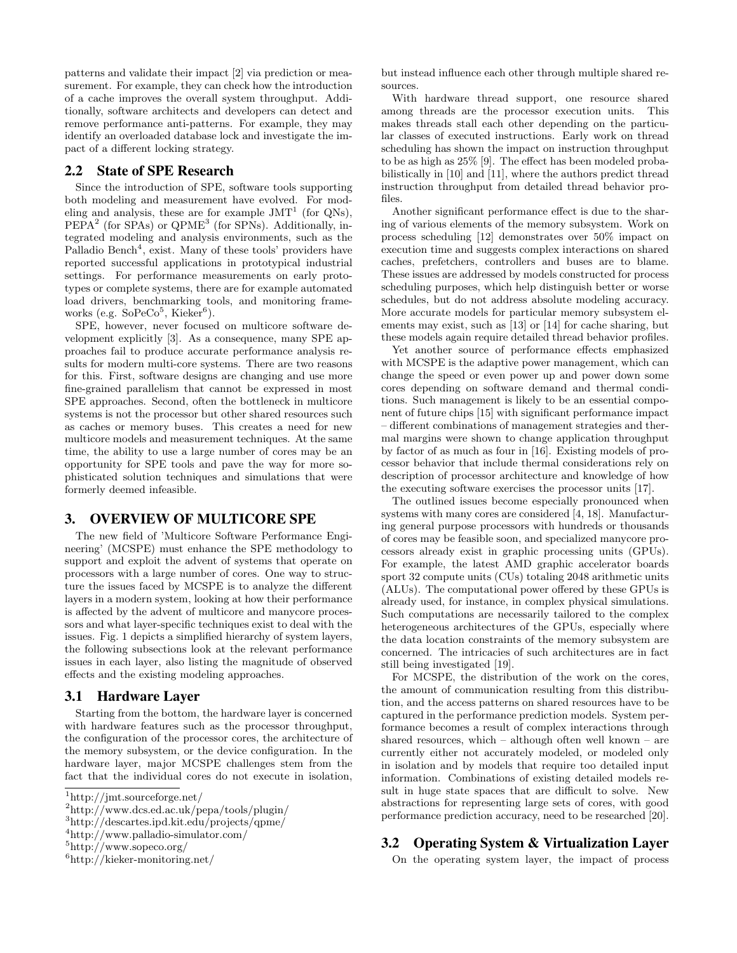patterns and validate their impact [2] via prediction or measurement. For example, they can check how the introduction of a cache improves the overall system throughput. Additionally, software architects and developers can detect and remove performance anti-patterns. For example, they may identify an overloaded database lock and investigate the impact of a different locking strategy.

#### 2.2 State of SPE Research

Since the introduction of SPE, software tools supporting both modeling and measurement have evolved. For modeling and analysis, these are for example  $JMT<sup>1</sup>$  (for QNs), PEPA<sup>2</sup> (for SPAs) or QPME<sup>3</sup> (for SPNs). Additionally, integrated modeling and analysis environments, such as the Palladio Bench<sup>4</sup>, exist. Many of these tools' providers have reported successful applications in prototypical industrial settings. For performance measurements on early prototypes or complete systems, there are for example automated load drivers, benchmarking tools, and monitoring frameworks (e.g. SoPeCo<sup>5</sup>, Kieker<sup>6</sup>).

SPE, however, never focused on multicore software development explicitly [3]. As a consequence, many SPE approaches fail to produce accurate performance analysis results for modern multi-core systems. There are two reasons for this. First, software designs are changing and use more fine-grained parallelism that cannot be expressed in most SPE approaches. Second, often the bottleneck in multicore systems is not the processor but other shared resources such as caches or memory buses. This creates a need for new multicore models and measurement techniques. At the same time, the ability to use a large number of cores may be an opportunity for SPE tools and pave the way for more sophisticated solution techniques and simulations that were formerly deemed infeasible.

#### 3. OVERVIEW OF MULTICORE SPE

The new field of 'Multicore Software Performance Engineering' (MCSPE) must enhance the SPE methodology to support and exploit the advent of systems that operate on processors with a large number of cores. One way to structure the issues faced by MCSPE is to analyze the different layers in a modern system, looking at how their performance is affected by the advent of multicore and manycore processors and what layer-specific techniques exist to deal with the issues. Fig. 1 depicts a simplified hierarchy of system layers, the following subsections look at the relevant performance issues in each layer, also listing the magnitude of observed effects and the existing modeling approaches.

#### 3.1 Hardware Layer

Starting from the bottom, the hardware layer is concerned with hardware features such as the processor throughput, the configuration of the processor cores, the architecture of the memory subsystem, or the device configuration. In the hardware layer, major MCSPE challenges stem from the fact that the individual cores do not execute in isolation,

but instead influence each other through multiple shared resources.

With hardware thread support, one resource shared among threads are the processor execution units. This makes threads stall each other depending on the particular classes of executed instructions. Early work on thread scheduling has shown the impact on instruction throughput to be as high as 25% [9]. The effect has been modeled probabilistically in [10] and [11], where the authors predict thread instruction throughput from detailed thread behavior profiles.

Another significant performance effect is due to the sharing of various elements of the memory subsystem. Work on process scheduling [12] demonstrates over 50% impact on execution time and suggests complex interactions on shared caches, prefetchers, controllers and buses are to blame. These issues are addressed by models constructed for process scheduling purposes, which help distinguish better or worse schedules, but do not address absolute modeling accuracy. More accurate models for particular memory subsystem elements may exist, such as [13] or [14] for cache sharing, but these models again require detailed thread behavior profiles.

Yet another source of performance effects emphasized with MCSPE is the adaptive power management, which can change the speed or even power up and power down some cores depending on software demand and thermal conditions. Such management is likely to be an essential component of future chips [15] with significant performance impact – different combinations of management strategies and thermal margins were shown to change application throughput by factor of as much as four in [16]. Existing models of processor behavior that include thermal considerations rely on description of processor architecture and knowledge of how the executing software exercises the processor units [17].

The outlined issues become especially pronounced when systems with many cores are considered [4, 18]. Manufacturing general purpose processors with hundreds or thousands of cores may be feasible soon, and specialized manycore processors already exist in graphic processing units (GPUs). For example, the latest AMD graphic accelerator boards sport 32 compute units (CUs) totaling 2048 arithmetic units (ALUs). The computational power offered by these GPUs is already used, for instance, in complex physical simulations. Such computations are necessarily tailored to the complex heterogeneous architectures of the GPUs, especially where the data location constraints of the memory subsystem are concerned. The intricacies of such architectures are in fact still being investigated [19].

For MCSPE, the distribution of the work on the cores, the amount of communication resulting from this distribution, and the access patterns on shared resources have to be captured in the performance prediction models. System performance becomes a result of complex interactions through shared resources, which – although often well known – are currently either not accurately modeled, or modeled only in isolation and by models that require too detailed input information. Combinations of existing detailed models result in huge state spaces that are difficult to solve. New abstractions for representing large sets of cores, with good performance prediction accuracy, need to be researched [20].

## 3.2 Operating System & Virtualization Layer

On the operating system layer, the impact of process

<sup>1</sup>http://jmt.sourceforge.net/

<sup>2</sup>http://www.dcs.ed.ac.uk/pepa/tools/plugin/

<sup>3</sup>http://descartes.ipd.kit.edu/projects/qpme/

<sup>4</sup>http://www.palladio-simulator.com/

<sup>5</sup>http://www.sopeco.org/

<sup>6</sup>http://kieker-monitoring.net/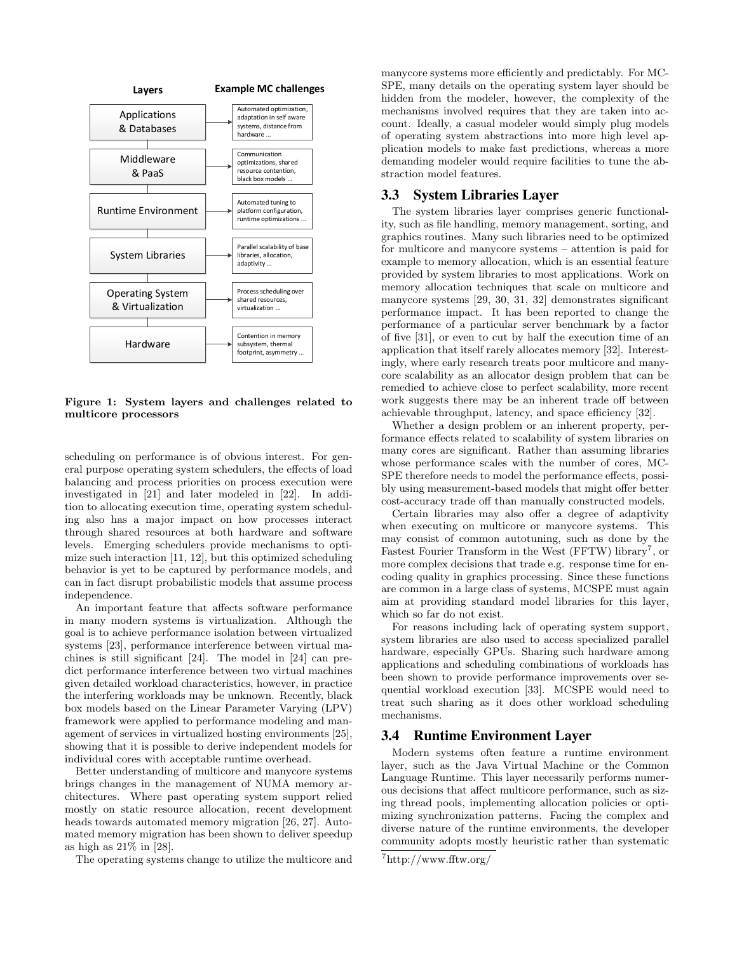

Figure 1: System layers and challenges related to multicore processors

scheduling on performance is of obvious interest. For general purpose operating system schedulers, the effects of load balancing and process priorities on process execution were investigated in [21] and later modeled in [22]. In addition to allocating execution time, operating system scheduling also has a major impact on how processes interact through shared resources at both hardware and software levels. Emerging schedulers provide mechanisms to optimize such interaction [11, 12], but this optimized scheduling behavior is yet to be captured by performance models, and can in fact disrupt probabilistic models that assume process independence.

An important feature that affects software performance in many modern systems is virtualization. Although the goal is to achieve performance isolation between virtualized systems [23], performance interference between virtual machines is still significant [24]. The model in [24] can predict performance interference between two virtual machines given detailed workload characteristics, however, in practice the interfering workloads may be unknown. Recently, black box models based on the Linear Parameter Varying (LPV) framework were applied to performance modeling and management of services in virtualized hosting environments [25], showing that it is possible to derive independent models for individual cores with acceptable runtime overhead.

Better understanding of multicore and manycore systems brings changes in the management of NUMA memory architectures. Where past operating system support relied mostly on static resource allocation, recent development heads towards automated memory migration [26, 27]. Automated memory migration has been shown to deliver speedup as high as 21% in [28].

The operating systems change to utilize the multicore and

manycore systems more efficiently and predictably. For MC-SPE, many details on the operating system layer should be hidden from the modeler, however, the complexity of the mechanisms involved requires that they are taken into account. Ideally, a casual modeler would simply plug models of operating system abstractions into more high level application models to make fast predictions, whereas a more demanding modeler would require facilities to tune the abstraction model features.

### 3.3 System Libraries Layer

The system libraries layer comprises generic functionality, such as file handling, memory management, sorting, and graphics routines. Many such libraries need to be optimized for multicore and manycore systems – attention is paid for example to memory allocation, which is an essential feature provided by system libraries to most applications. Work on memory allocation techniques that scale on multicore and manycore systems [29, 30, 31, 32] demonstrates significant performance impact. It has been reported to change the performance of a particular server benchmark by a factor of five [31], or even to cut by half the execution time of an application that itself rarely allocates memory [32]. Interestingly, where early research treats poor multicore and manycore scalability as an allocator design problem that can be remedied to achieve close to perfect scalability, more recent work suggests there may be an inherent trade off between achievable throughput, latency, and space efficiency [32].

Whether a design problem or an inherent property, performance effects related to scalability of system libraries on many cores are significant. Rather than assuming libraries whose performance scales with the number of cores, MC-SPE therefore needs to model the performance effects, possibly using measurement-based models that might offer better cost-accuracy trade off than manually constructed models.

Certain libraries may also offer a degree of adaptivity when executing on multicore or manycore systems. This may consist of common autotuning, such as done by the Fastest Fourier Transform in the West (FFTW) library<sup>7</sup>, or more complex decisions that trade e.g. response time for encoding quality in graphics processing. Since these functions are common in a large class of systems, MCSPE must again aim at providing standard model libraries for this layer, which so far do not exist.

For reasons including lack of operating system support, system libraries are also used to access specialized parallel hardware, especially GPUs. Sharing such hardware among applications and scheduling combinations of workloads has been shown to provide performance improvements over sequential workload execution [33]. MCSPE would need to treat such sharing as it does other workload scheduling mechanisms.

#### 3.4 Runtime Environment Layer

Modern systems often feature a runtime environment layer, such as the Java Virtual Machine or the Common Language Runtime. This layer necessarily performs numerous decisions that affect multicore performance, such as sizing thread pools, implementing allocation policies or optimizing synchronization patterns. Facing the complex and diverse nature of the runtime environments, the developer community adopts mostly heuristic rather than systematic

 $7$ http://www.fftw.org/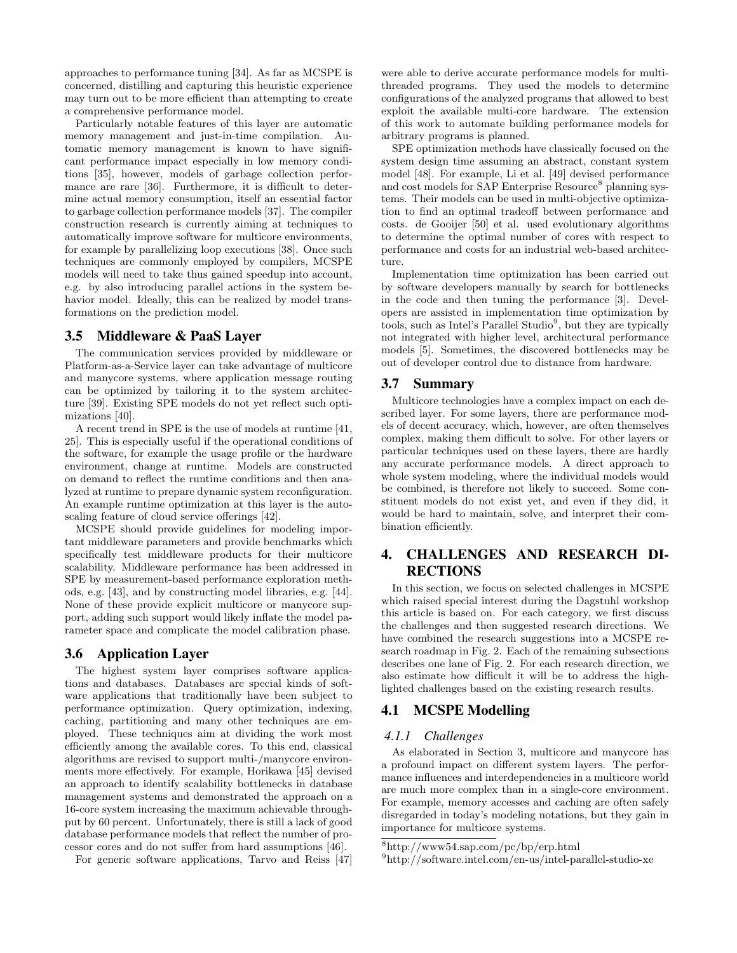approaches to performance tuning [34]. As far as MCSPE is concerned, distilling and capturing this heuristic experience may turn out to be more efficient than attempting to create a comprehensive performance model.

Particularly notable features of this layer are automatic memory management and just-in-time compilation. Automatic memory management is known to have significant performance impact especially in low memory conditions [35], however, models of garbage collection performance are rare [36]. Furthermore, it is difficult to determine actual memory consumption, itself an essential factor to garbage collection performance models [37]. The compiler construction research is currently aiming at techniques to automatically improve software for multicore environments, for example by parallelizing loop executions [38]. Once such techniques are commonly employed by compilers, MCSPE models will need to take thus gained speedup into account, e.g. by also introducing parallel actions in the system behavior model. Ideally, this can be realized by model transformations on the prediction model.

## 3.5 Middleware & PaaS Layer

The communication services provided by middleware or Platform-as-a-Service layer can take advantage of multicore and manycore systems, where application message routing can be optimized by tailoring it to the system architecture [39]. Existing SPE models do not yet reflect such optimizations [40].

A recent trend in SPE is the use of models at runtime [41, 25]. This is especially useful if the operational conditions of the software, for example the usage profile or the hardware environment, change at runtime. Models are constructed on demand to reflect the runtime conditions and then analyzed at runtime to prepare dynamic system reconfiguration. An example runtime optimization at this layer is the autoscaling feature of cloud service offerings [42].

MCSPE should provide guidelines for modeling important middleware parameters and provide benchmarks which specifically test middleware products for their multicore scalability. Middleware performance has been addressed in SPE by measurement-based performance exploration methods, e.g. [43], and by constructing model libraries, e.g. [44]. None of these provide explicit multicore or manycore support, adding such support would likely inflate the model parameter space and complicate the model calibration phase.

## 3.6 Application Layer

The highest system layer comprises software applications and databases. Databases are special kinds of software applications that traditionally have been subject to performance optimization. Query optimization, indexing, caching, partitioning and many other techniques are employed. These techniques aim at dividing the work most efficiently among the available cores. To this end, classical algorithms are revised to support multi-/manycore environments more effectively. For example, Horikawa [45] devised an approach to identify scalability bottlenecks in database management systems and demonstrated the approach on a 16-core system increasing the maximum achievable throughput by 60 percent. Unfortunately, there is still a lack of good database performance models that reflect the number of processor cores and do not suffer from hard assumptions [46].

For generic software applications, Tarvo and Reiss [47]

were able to derive accurate performance models for multithreaded programs. They used the models to determine configurations of the analyzed programs that allowed to best exploit the available multi-core hardware. The extension of this work to automate building performance models for arbitrary programs is planned.

SPE optimization methods have classically focused on the system design time assuming an abstract, constant system model [48]. For example, Li et al. [49] devised performance and cost models for SAP Enterprise Resource<sup>8</sup> planning systems. Their models can be used in multi-objective optimization to find an optimal tradeoff between performance and costs. de Gooijer [50] et al. used evolutionary algorithms to determine the optimal number of cores with respect to performance and costs for an industrial web-based architecture.

Implementation time optimization has been carried out by software developers manually by search for bottlenecks in the code and then tuning the performance [3]. Developers are assisted in implementation time optimization by tools, such as Intel's Parallel Studio<sup>9</sup>, but they are typically not integrated with higher level, architectural performance models [5]. Sometimes, the discovered bottlenecks may be out of developer control due to distance from hardware.

#### 3.7 Summary

Multicore technologies have a complex impact on each described layer. For some layers, there are performance models of decent accuracy, which, however, are often themselves complex, making them difficult to solve. For other layers or particular techniques used on these layers, there are hardly any accurate performance models. A direct approach to whole system modeling, where the individual models would be combined, is therefore not likely to succeed. Some constituent models do not exist yet, and even if they did, it would be hard to maintain, solve, and interpret their combination efficiently.

## 4. CHALLENGES AND RESEARCH DI-**RECTIONS**

In this section, we focus on selected challenges in MCSPE which raised special interest during the Dagstuhl workshop this article is based on. For each category, we first discuss the challenges and then suggested research directions. We have combined the research suggestions into a MCSPE research roadmap in Fig. 2. Each of the remaining subsections describes one lane of Fig. 2. For each research direction, we also estimate how difficult it will be to address the highlighted challenges based on the existing research results.

## 4.1 MCSPE Modelling

#### *4.1.1 Challenges*

As elaborated in Section 3, multicore and manycore has a profound impact on different system layers. The performance influences and interdependencies in a multicore world are much more complex than in a single-core environment. For example, memory accesses and caching are often safely disregarded in today's modeling notations, but they gain in importance for multicore systems.

<sup>8</sup>http://www54.sap.com/pc/bp/erp.html

<sup>9</sup>http://software.intel.com/en-us/intel-parallel-studio-xe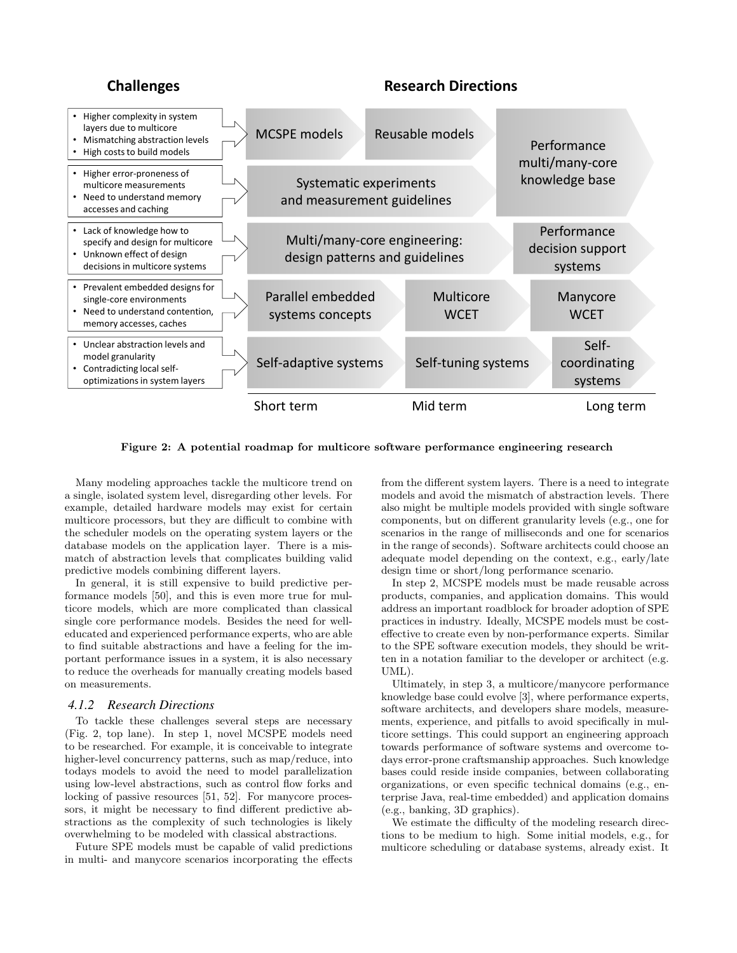## **Challenges Research Directions**



Figure 2: A potential roadmap for multicore software performance engineering research

Many modeling approaches tackle the multicore trend on a single, isolated system level, disregarding other levels. For example, detailed hardware models may exist for certain multicore processors, but they are difficult to combine with the scheduler models on the operating system layers or the database models on the application layer. There is a mismatch of abstraction levels that complicates building valid predictive models combining different layers.

In general, it is still expensive to build predictive performance models [50], and this is even more true for multicore models, which are more complicated than classical single core performance models. Besides the need for welleducated and experienced performance experts, who are able to find suitable abstractions and have a feeling for the important performance issues in a system, it is also necessary to reduce the overheads for manually creating models based on measurements.

#### *4.1.2 Research Directions*

To tackle these challenges several steps are necessary (Fig. 2, top lane). In step 1, novel MCSPE models need to be researched. For example, it is conceivable to integrate higher-level concurrency patterns, such as map/reduce, into todays models to avoid the need to model parallelization using low-level abstractions, such as control flow forks and locking of passive resources [51, 52]. For manycore processors, it might be necessary to find different predictive abstractions as the complexity of such technologies is likely overwhelming to be modeled with classical abstractions.

Future SPE models must be capable of valid predictions in multi- and manycore scenarios incorporating the effects from the different system layers. There is a need to integrate models and avoid the mismatch of abstraction levels. There also might be multiple models provided with single software components, but on different granularity levels (e.g., one for scenarios in the range of milliseconds and one for scenarios in the range of seconds). Software architects could choose an adequate model depending on the context, e.g., early/late design time or short/long performance scenario.

In step 2, MCSPE models must be made reusable across products, companies, and application domains. This would address an important roadblock for broader adoption of SPE practices in industry. Ideally, MCSPE models must be costeffective to create even by non-performance experts. Similar to the SPE software execution models, they should be written in a notation familiar to the developer or architect (e.g. UML).

Ultimately, in step 3, a multicore/manycore performance knowledge base could evolve [3], where performance experts, software architects, and developers share models, measurements, experience, and pitfalls to avoid specifically in multicore settings. This could support an engineering approach towards performance of software systems and overcome todays error-prone craftsmanship approaches. Such knowledge bases could reside inside companies, between collaborating organizations, or even specific technical domains (e.g., enterprise Java, real-time embedded) and application domains (e.g., banking, 3D graphics).

We estimate the difficulty of the modeling research directions to be medium to high. Some initial models, e.g., for multicore scheduling or database systems, already exist. It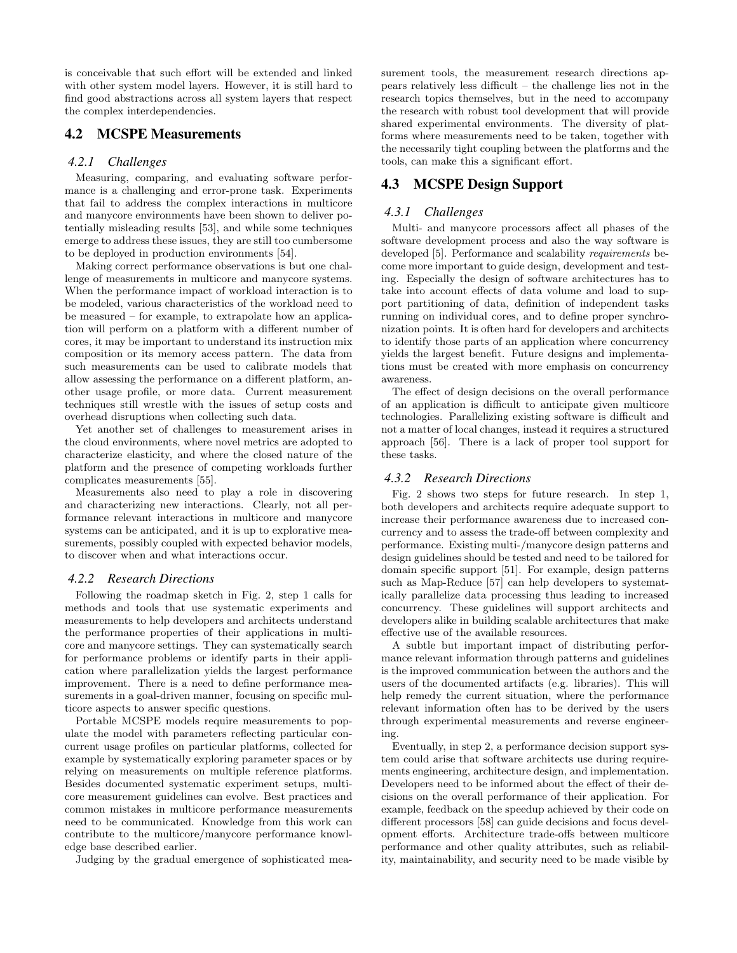is conceivable that such effort will be extended and linked with other system model layers. However, it is still hard to find good abstractions across all system layers that respect the complex interdependencies.

### 4.2 MCSPE Measurements

#### *4.2.1 Challenges*

Measuring, comparing, and evaluating software performance is a challenging and error-prone task. Experiments that fail to address the complex interactions in multicore and manycore environments have been shown to deliver potentially misleading results [53], and while some techniques emerge to address these issues, they are still too cumbersome to be deployed in production environments [54].

Making correct performance observations is but one challenge of measurements in multicore and manycore systems. When the performance impact of workload interaction is to be modeled, various characteristics of the workload need to be measured – for example, to extrapolate how an application will perform on a platform with a different number of cores, it may be important to understand its instruction mix composition or its memory access pattern. The data from such measurements can be used to calibrate models that allow assessing the performance on a different platform, another usage profile, or more data. Current measurement techniques still wrestle with the issues of setup costs and overhead disruptions when collecting such data.

Yet another set of challenges to measurement arises in the cloud environments, where novel metrics are adopted to characterize elasticity, and where the closed nature of the platform and the presence of competing workloads further complicates measurements [55].

Measurements also need to play a role in discovering and characterizing new interactions. Clearly, not all performance relevant interactions in multicore and manycore systems can be anticipated, and it is up to explorative measurements, possibly coupled with expected behavior models, to discover when and what interactions occur.

#### *4.2.2 Research Directions*

Following the roadmap sketch in Fig. 2, step 1 calls for methods and tools that use systematic experiments and measurements to help developers and architects understand the performance properties of their applications in multicore and manycore settings. They can systematically search for performance problems or identify parts in their application where parallelization yields the largest performance improvement. There is a need to define performance measurements in a goal-driven manner, focusing on specific multicore aspects to answer specific questions.

Portable MCSPE models require measurements to populate the model with parameters reflecting particular concurrent usage profiles on particular platforms, collected for example by systematically exploring parameter spaces or by relying on measurements on multiple reference platforms. Besides documented systematic experiment setups, multicore measurement guidelines can evolve. Best practices and common mistakes in multicore performance measurements need to be communicated. Knowledge from this work can contribute to the multicore/manycore performance knowledge base described earlier.

Judging by the gradual emergence of sophisticated mea-

surement tools, the measurement research directions appears relatively less difficult – the challenge lies not in the research topics themselves, but in the need to accompany the research with robust tool development that will provide shared experimental environments. The diversity of platforms where measurements need to be taken, together with the necessarily tight coupling between the platforms and the tools, can make this a significant effort.

## 4.3 MCSPE Design Support

#### *4.3.1 Challenges*

Multi- and manycore processors affect all phases of the software development process and also the way software is developed [5]. Performance and scalability requirements become more important to guide design, development and testing. Especially the design of software architectures has to take into account effects of data volume and load to support partitioning of data, definition of independent tasks running on individual cores, and to define proper synchronization points. It is often hard for developers and architects to identify those parts of an application where concurrency yields the largest benefit. Future designs and implementations must be created with more emphasis on concurrency awareness.

The effect of design decisions on the overall performance of an application is difficult to anticipate given multicore technologies. Parallelizing existing software is difficult and not a matter of local changes, instead it requires a structured approach [56]. There is a lack of proper tool support for these tasks.

#### *4.3.2 Research Directions*

Fig. 2 shows two steps for future research. In step 1, both developers and architects require adequate support to increase their performance awareness due to increased concurrency and to assess the trade-off between complexity and performance. Existing multi-/manycore design patterns and design guidelines should be tested and need to be tailored for domain specific support [51]. For example, design patterns such as Map-Reduce [57] can help developers to systematically parallelize data processing thus leading to increased concurrency. These guidelines will support architects and developers alike in building scalable architectures that make effective use of the available resources.

A subtle but important impact of distributing performance relevant information through patterns and guidelines is the improved communication between the authors and the users of the documented artifacts (e.g. libraries). This will help remedy the current situation, where the performance relevant information often has to be derived by the users through experimental measurements and reverse engineering.

Eventually, in step 2, a performance decision support system could arise that software architects use during requirements engineering, architecture design, and implementation. Developers need to be informed about the effect of their decisions on the overall performance of their application. For example, feedback on the speedup achieved by their code on different processors [58] can guide decisions and focus development efforts. Architecture trade-offs between multicore performance and other quality attributes, such as reliability, maintainability, and security need to be made visible by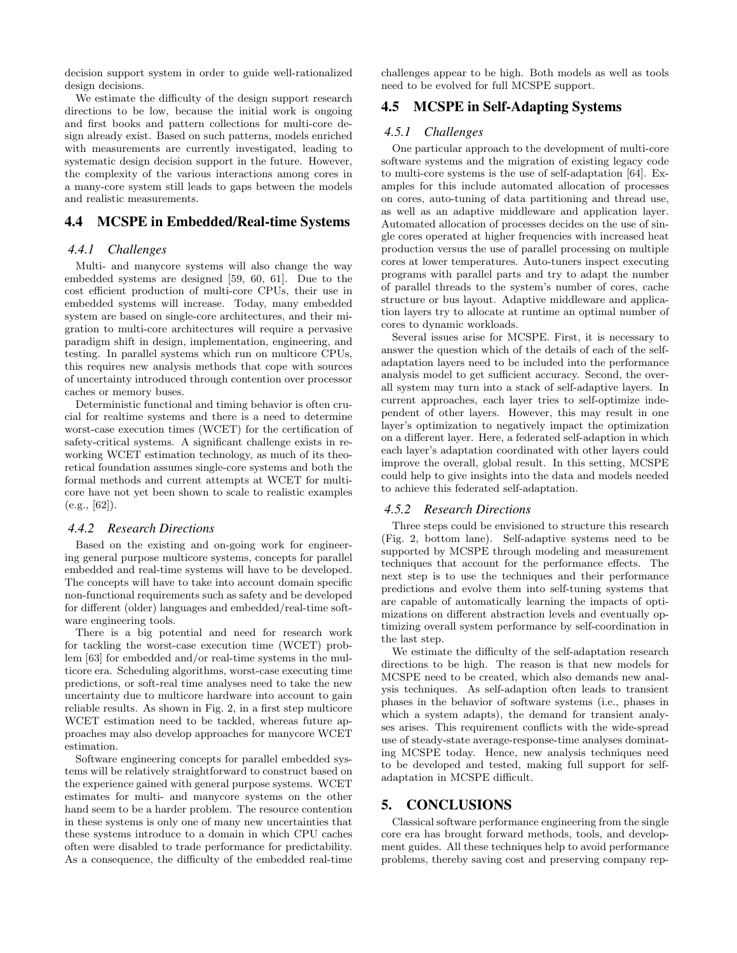decision support system in order to guide well-rationalized design decisions.

We estimate the difficulty of the design support research directions to be low, because the initial work is ongoing and first books and pattern collections for multi-core design already exist. Based on such patterns, models enriched with measurements are currently investigated, leading to systematic design decision support in the future. However, the complexity of the various interactions among cores in a many-core system still leads to gaps between the models and realistic measurements.

#### 4.4 MCSPE in Embedded/Real-time Systems

#### *4.4.1 Challenges*

Multi- and manycore systems will also change the way embedded systems are designed [59, 60, 61]. Due to the cost efficient production of multi-core CPUs, their use in embedded systems will increase. Today, many embedded system are based on single-core architectures, and their migration to multi-core architectures will require a pervasive paradigm shift in design, implementation, engineering, and testing. In parallel systems which run on multicore CPUs, this requires new analysis methods that cope with sources of uncertainty introduced through contention over processor caches or memory buses.

Deterministic functional and timing behavior is often crucial for realtime systems and there is a need to determine worst-case execution times (WCET) for the certification of safety-critical systems. A significant challenge exists in reworking WCET estimation technology, as much of its theoretical foundation assumes single-core systems and both the formal methods and current attempts at WCET for multicore have not yet been shown to scale to realistic examples (e.g., [62]).

#### *4.4.2 Research Directions*

Based on the existing and on-going work for engineering general purpose multicore systems, concepts for parallel embedded and real-time systems will have to be developed. The concepts will have to take into account domain specific non-functional requirements such as safety and be developed for different (older) languages and embedded/real-time software engineering tools.

There is a big potential and need for research work for tackling the worst-case execution time (WCET) problem [63] for embedded and/or real-time systems in the multicore era. Scheduling algorithms, worst-case executing time predictions, or soft-real time analyses need to take the new uncertainty due to multicore hardware into account to gain reliable results. As shown in Fig. 2, in a first step multicore WCET estimation need to be tackled, whereas future approaches may also develop approaches for manycore WCET estimation.

Software engineering concepts for parallel embedded systems will be relatively straightforward to construct based on the experience gained with general purpose systems. WCET estimates for multi- and manycore systems on the other hand seem to be a harder problem. The resource contention in these systems is only one of many new uncertainties that these systems introduce to a domain in which CPU caches often were disabled to trade performance for predictability. As a consequence, the difficulty of the embedded real-time

challenges appear to be high. Both models as well as tools need to be evolved for full MCSPE support.

## 4.5 MCSPE in Self-Adapting Systems

#### *4.5.1 Challenges*

One particular approach to the development of multi-core software systems and the migration of existing legacy code to multi-core systems is the use of self-adaptation [64]. Examples for this include automated allocation of processes on cores, auto-tuning of data partitioning and thread use, as well as an adaptive middleware and application layer. Automated allocation of processes decides on the use of single cores operated at higher frequencies with increased heat production versus the use of parallel processing on multiple cores at lower temperatures. Auto-tuners inspect executing programs with parallel parts and try to adapt the number of parallel threads to the system's number of cores, cache structure or bus layout. Adaptive middleware and application layers try to allocate at runtime an optimal number of cores to dynamic workloads.

Several issues arise for MCSPE. First, it is necessary to answer the question which of the details of each of the selfadaptation layers need to be included into the performance analysis model to get sufficient accuracy. Second, the overall system may turn into a stack of self-adaptive layers. In current approaches, each layer tries to self-optimize independent of other layers. However, this may result in one layer's optimization to negatively impact the optimization on a different layer. Here, a federated self-adaption in which each layer's adaptation coordinated with other layers could improve the overall, global result. In this setting, MCSPE could help to give insights into the data and models needed to achieve this federated self-adaptation.

#### *4.5.2 Research Directions*

Three steps could be envisioned to structure this research (Fig. 2, bottom lane). Self-adaptive systems need to be supported by MCSPE through modeling and measurement techniques that account for the performance effects. The next step is to use the techniques and their performance predictions and evolve them into self-tuning systems that are capable of automatically learning the impacts of optimizations on different abstraction levels and eventually optimizing overall system performance by self-coordination in the last step.

We estimate the difficulty of the self-adaptation research directions to be high. The reason is that new models for MCSPE need to be created, which also demands new analysis techniques. As self-adaption often leads to transient phases in the behavior of software systems (i.e., phases in which a system adapts), the demand for transient analyses arises. This requirement conflicts with the wide-spread use of steady-state average-response-time analyses dominating MCSPE today. Hence, new analysis techniques need to be developed and tested, making full support for selfadaptation in MCSPE difficult.

## 5. CONCLUSIONS

Classical software performance engineering from the single core era has brought forward methods, tools, and development guides. All these techniques help to avoid performance problems, thereby saving cost and preserving company rep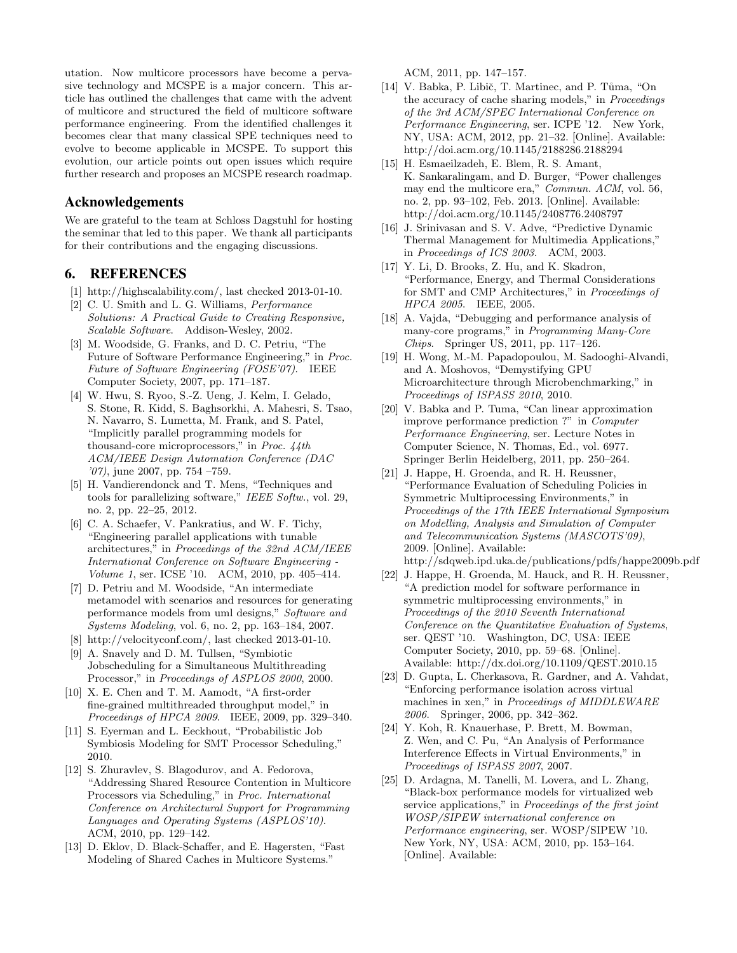utation. Now multicore processors have become a pervasive technology and MCSPE is a major concern. This article has outlined the challenges that came with the advent of multicore and structured the field of multicore software performance engineering. From the identified challenges it becomes clear that many classical SPE techniques need to evolve to become applicable in MCSPE. To support this evolution, our article points out open issues which require further research and proposes an MCSPE research roadmap.

#### Acknowledgements

We are grateful to the team at Schloss Dagstuhl for hosting the seminar that led to this paper. We thank all participants for their contributions and the engaging discussions.

## 6. REFERENCES

- [1] http://highscalability.com/, last checked 2013-01-10.
- [2] C. U. Smith and L. G. Williams, Performance Solutions: A Practical Guide to Creating Responsive, Scalable Software. Addison-Wesley, 2002.
- [3] M. Woodside, G. Franks, and D. C. Petriu, "The Future of Software Performance Engineering," in Proc. Future of Software Engineering (FOSE'07). IEEE Computer Society, 2007, pp. 171–187.
- [4] W. Hwu, S. Ryoo, S.-Z. Ueng, J. Kelm, I. Gelado, S. Stone, R. Kidd, S. Baghsorkhi, A. Mahesri, S. Tsao, N. Navarro, S. Lumetta, M. Frank, and S. Patel, "Implicitly parallel programming models for thousand-core microprocessors," in Proc. 44th ACM/IEEE Design Automation Conference (DAC '07), june 2007, pp. 754 –759.
- [5] H. Vandierendonck and T. Mens, "Techniques and tools for parallelizing software," IEEE Softw., vol. 29, no. 2, pp. 22–25, 2012.
- [6] C. A. Schaefer, V. Pankratius, and W. F. Tichy, "Engineering parallel applications with tunable architectures," in Proceedings of the 32nd ACM/IEEE International Conference on Software Engineering - Volume 1, ser. ICSE '10. ACM, 2010, pp. 405–414.
- [7] D. Petriu and M. Woodside, "An intermediate metamodel with scenarios and resources for generating performance models from uml designs," Software and Systems Modeling, vol. 6, no. 2, pp. 163–184, 2007.
- [8] http://velocityconf.com/, last checked 2013-01-10.
- [9] A. Snavely and D. M. Tullsen, "Symbiotic Jobscheduling for a Simultaneous Multithreading Processor," in Proceedings of ASPLOS 2000, 2000.
- [10] X. E. Chen and T. M. Aamodt, "A first-order fine-grained multithreaded throughput model," in Proceedings of HPCA 2009. IEEE, 2009, pp. 329–340.
- [11] S. Eyerman and L. Eeckhout, "Probabilistic Job Symbiosis Modeling for SMT Processor Scheduling," 2010.
- [12] S. Zhuravlev, S. Blagodurov, and A. Fedorova, "Addressing Shared Resource Contention in Multicore Processors via Scheduling," in Proc. International Conference on Architectural Support for Programming Languages and Operating Systems (ASPLOS'10). ACM, 2010, pp. 129–142.
- [13] D. Eklov, D. Black-Schaffer, and E. Hagersten, "Fast Modeling of Shared Caches in Multicore Systems."

ACM, 2011, pp. 147–157.

- [14] V. Babka, P. Libič, T. Martinec, and P. Tůma, "On the accuracy of cache sharing models," in Proceedings of the 3rd ACM/SPEC International Conference on Performance Engineering, ser. ICPE '12. New York, NY, USA: ACM, 2012, pp. 21–32. [Online]. Available: http://doi.acm.org/10.1145/2188286.2188294
- [15] H. Esmaeilzadeh, E. Blem, R. S. Amant, K. Sankaralingam, and D. Burger, "Power challenges may end the multicore era," *Commun. ACM*, vol. 56, no. 2, pp. 93–102, Feb. 2013. [Online]. Available: http://doi.acm.org/10.1145/2408776.2408797
- [16] J. Srinivasan and S. V. Adve, "Predictive Dynamic Thermal Management for Multimedia Applications," in Proceedings of ICS 2003. ACM, 2003.
- [17] Y. Li, D. Brooks, Z. Hu, and K. Skadron, "Performance, Energy, and Thermal Considerations for SMT and CMP Architectures," in Proceedings of HPCA 2005. IEEE, 2005.
- [18] A. Vajda, "Debugging and performance analysis of many-core programs," in Programming Many-Core Chips. Springer US, 2011, pp. 117–126.
- [19] H. Wong, M.-M. Papadopoulou, M. Sadooghi-Alvandi, and A. Moshovos, "Demystifying GPU Microarchitecture through Microbenchmarking," in Proceedings of ISPASS 2010, 2010.
- [20] V. Babka and P. Tuma, "Can linear approximation improve performance prediction ?" in Computer Performance Engineering, ser. Lecture Notes in Computer Science, N. Thomas, Ed., vol. 6977. Springer Berlin Heidelberg, 2011, pp. 250–264.
- [21] J. Happe, H. Groenda, and R. H. Reussner, "Performance Evaluation of Scheduling Policies in Symmetric Multiprocessing Environments," in Proceedings of the 17th IEEE International Symposium on Modelling, Analysis and Simulation of Computer and Telecommunication Systems (MASCOTS'09), 2009. [Online]. Available:
- http://sdqweb.ipd.uka.de/publications/pdfs/happe2009b.pdf [22] J. Happe, H. Groenda, M. Hauck, and R. H. Reussner,
- "A prediction model for software performance in symmetric multiprocessing environments," in Proceedings of the 2010 Seventh International Conference on the Quantitative Evaluation of Systems, ser. QEST '10. Washington, DC, USA: IEEE Computer Society, 2010, pp. 59–68. [Online]. Available: http://dx.doi.org/10.1109/QEST.2010.15
- [23] D. Gupta, L. Cherkasova, R. Gardner, and A. Vahdat, "Enforcing performance isolation across virtual machines in xen," in Proceedings of MIDDLEWARE 2006. Springer, 2006, pp. 342–362.
- [24] Y. Koh, R. Knauerhase, P. Brett, M. Bowman, Z. Wen, and C. Pu, "An Analysis of Performance Interference Effects in Virtual Environments," in Proceedings of ISPASS 2007, 2007.
- [25] D. Ardagna, M. Tanelli, M. Lovera, and L. Zhang, "Black-box performance models for virtualized web service applications," in Proceedings of the first joint WOSP/SIPEW international conference on Performance engineering, ser. WOSP/SIPEW '10. New York, NY, USA: ACM, 2010, pp. 153–164. [Online]. Available: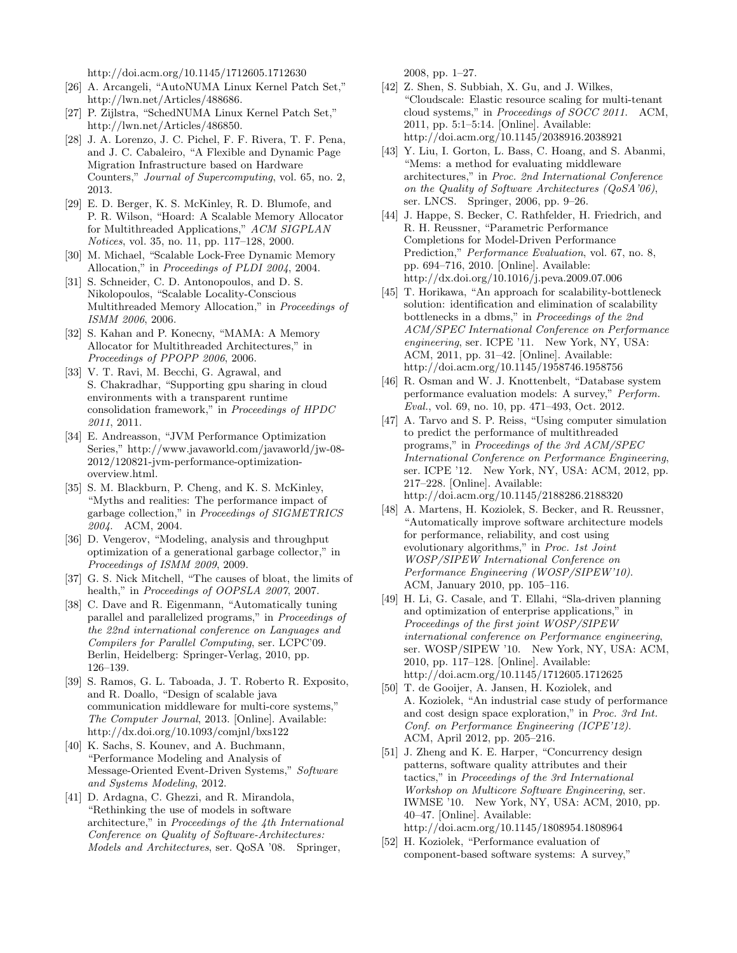http://doi.acm.org/10.1145/1712605.1712630

- [26] A. Arcangeli, "AutoNUMA Linux Kernel Patch Set," http://lwn.net/Articles/488686.
- [27] P. Zijlstra, "SchedNUMA Linux Kernel Patch Set," http://lwn.net/Articles/486850.
- [28] J. A. Lorenzo, J. C. Pichel, F. F. Rivera, T. F. Pena, and J. C. Cabaleiro, "A Flexible and Dynamic Page Migration Infrastructure based on Hardware Counters," Journal of Supercomputing, vol. 65, no. 2, 2013.
- [29] E. D. Berger, K. S. McKinley, R. D. Blumofe, and P. R. Wilson, "Hoard: A Scalable Memory Allocator for Multithreaded Applications," ACM SIGPLAN Notices, vol. 35, no. 11, pp. 117–128, 2000.
- [30] M. Michael, "Scalable Lock-Free Dynamic Memory Allocation," in Proceedings of PLDI 2004, 2004.
- [31] S. Schneider, C. D. Antonopoulos, and D. S. Nikolopoulos, "Scalable Locality-Conscious Multithreaded Memory Allocation," in Proceedings of ISMM 2006, 2006.
- [32] S. Kahan and P. Konecny, "MAMA: A Memory Allocator for Multithreaded Architectures," in Proceedings of PPOPP 2006, 2006.
- [33] V. T. Ravi, M. Becchi, G. Agrawal, and S. Chakradhar, "Supporting gpu sharing in cloud environments with a transparent runtime consolidation framework," in Proceedings of HPDC 2011, 2011.
- [34] E. Andreasson, "JVM Performance Optimization Series," http://www.javaworld.com/javaworld/jw-08- 2012/120821-jvm-performance-optimizationoverview.html.
- [35] S. M. Blackburn, P. Cheng, and K. S. McKinley, "Myths and realities: The performance impact of garbage collection," in Proceedings of SIGMETRICS 2004. ACM, 2004.
- [36] D. Vengerov, "Modeling, analysis and throughput optimization of a generational garbage collector," in Proceedings of ISMM 2009, 2009.
- [37] G. S. Nick Mitchell, "The causes of bloat, the limits of health," in Proceedings of OOPSLA 2007, 2007.
- [38] C. Dave and R. Eigenmann, "Automatically tuning parallel and parallelized programs," in Proceedings of the 22nd international conference on Languages and Compilers for Parallel Computing, ser. LCPC'09. Berlin, Heidelberg: Springer-Verlag, 2010, pp. 126–139.
- [39] S. Ramos, G. L. Taboada, J. T. Roberto R. Exposito, and R. Doallo, "Design of scalable java communication middleware for multi-core systems," The Computer Journal, 2013. [Online]. Available: http://dx.doi.org/10.1093/comjnl/bxs122
- [40] K. Sachs, S. Kounev, and A. Buchmann, "Performance Modeling and Analysis of Message-Oriented Event-Driven Systems," Software and Systems Modeling, 2012.
- [41] D. Ardagna, C. Ghezzi, and R. Mirandola, "Rethinking the use of models in software architecture," in Proceedings of the 4th International Conference on Quality of Software-Architectures: Models and Architectures, ser. QoSA '08. Springer,

2008, pp. 1–27.

- [42] Z. Shen, S. Subbiah, X. Gu, and J. Wilkes, "Cloudscale: Elastic resource scaling for multi-tenant cloud systems," in Proceedings of SOCC 2011. ACM, 2011, pp. 5:1–5:14. [Online]. Available: http://doi.acm.org/10.1145/2038916.2038921
- [43] Y. Liu, I. Gorton, L. Bass, C. Hoang, and S. Abanmi, "Mems: a method for evaluating middleware architectures," in Proc. 2nd International Conference on the Quality of Software Architectures (QoSA'06), ser. LNCS. Springer, 2006, pp. 9–26.
- [44] J. Happe, S. Becker, C. Rathfelder, H. Friedrich, and R. H. Reussner, "Parametric Performance Completions for Model-Driven Performance Prediction," Performance Evaluation, vol. 67, no. 8, pp. 694–716, 2010. [Online]. Available: http://dx.doi.org/10.1016/j.peva.2009.07.006
- [45] T. Horikawa, "An approach for scalability-bottleneck solution: identification and elimination of scalability bottlenecks in a dbms," in Proceedings of the 2nd ACM/SPEC International Conference on Performance engineering, ser. ICPE '11. New York, NY, USA: ACM, 2011, pp. 31–42. [Online]. Available: http://doi.acm.org/10.1145/1958746.1958756
- [46] R. Osman and W. J. Knottenbelt, "Database system performance evaluation models: A survey," Perform. Eval., vol. 69, no. 10, pp. 471–493, Oct. 2012.
- [47] A. Tarvo and S. P. Reiss, "Using computer simulation to predict the performance of multithreaded programs," in Proceedings of the 3rd ACM/SPEC International Conference on Performance Engineering, ser. ICPE '12. New York, NY, USA: ACM, 2012, pp. 217–228. [Online]. Available: http://doi.acm.org/10.1145/2188286.2188320
- [48] A. Martens, H. Koziolek, S. Becker, and R. Reussner, "Automatically improve software architecture models for performance, reliability, and cost using evolutionary algorithms," in Proc. 1st Joint WOSP/SIPEW International Conference on Performance Engineering (WOSP/SIPEW'10). ACM, January 2010, pp. 105–116.
- [49] H. Li, G. Casale, and T. Ellahi, "Sla-driven planning and optimization of enterprise applications," in Proceedings of the first joint WOSP/SIPEW international conference on Performance engineering, ser. WOSP/SIPEW '10. New York, NY, USA: ACM, 2010, pp. 117–128. [Online]. Available: http://doi.acm.org/10.1145/1712605.1712625
- [50] T. de Gooijer, A. Jansen, H. Koziolek, and A. Koziolek, "An industrial case study of performance and cost design space exploration," in Proc. 3rd Int. Conf. on Performance Engineering (ICPE'12). ACM, April 2012, pp. 205–216.
- [51] J. Zheng and K. E. Harper, "Concurrency design patterns, software quality attributes and their tactics," in Proceedings of the 3rd International Workshop on Multicore Software Engineering, ser. IWMSE '10. New York, NY, USA: ACM, 2010, pp. 40–47. [Online]. Available: http://doi.acm.org/10.1145/1808954.1808964
- [52] H. Koziolek, "Performance evaluation of component-based software systems: A survey,"